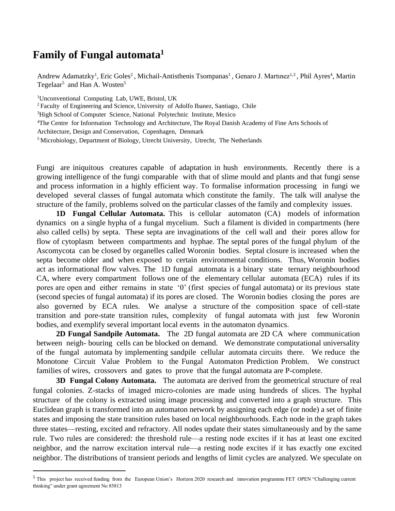## **Family of Fungal automata<sup>1</sup>**

Andrew Adamatzky<sup>1</sup>, Eric Goles<sup>2</sup>, Michail-Antisthenis Tsompanas<sup>1</sup>, Genaro J. Martınez<sup>1,3</sup>, Phil Ayres<sup>4</sup>, Martin Tegelaar<sup>5</sup> and Han A. Wosten<sup>5</sup>

<sup>1</sup>Unconventional Computing Lab, UWE, Bristol, UK

<sup>2</sup> Faculty of Engineering and Science, University of Adolfo Ibanez, Santiago, Chile

<sup>3</sup>High School of Computer Science, National Polytechnic Institute, Mexico

<sup>4</sup>The Centre for Information Technology and Architecture, The Royal Danish Academy of Fine Arts Schools of

Architecture, Design and Conservation, Copenhagen, Denmark

<sup>5</sup>Microbiology, Department of Biology, Utrecht University, Utrecht, The Netherlands

Fungi are iniquitous creatures capable of adaptation in hush environments. Recently there is a growing intelligence of the fungi comparable with that of slime mould and plants and that fungi sense and process information in a highly efficient way. To formalise information processing in fungi we developed several classes of fungal automata which constitute the family. The talk will analyse the structure of the family, problems solved on the particular classes of the family and complexity issues.

**1D Fungal Cellular Automata.** This is cellular automaton (CA) models of information dynamics on a single hypha of a fungal mycelium. Such a filament is divided in compartments (here also called cells) by septa. These septa are invaginations of the cell wall and their pores allow for flow of cytoplasm between compartments and hyphae. The septal pores of the fungal phylum of the Ascomycota can be closed by organelles called Woronin bodies. Septal closure is increased when the septa become older and when exposed to certain environmental conditions. Thus, Woronin bodies act as informational flow valves. The 1D fungal automata is a binary state ternary neighbourhood CA, where every compartment follows one of the elementary cellular automata (ECA) rules if its pores are open and either remains in state '0' (first species of fungal automata) or its previous state (second species of fungal automata) if its pores are closed. The Woronin bodies closing the pores are also governed by ECA rules. We analyse a structure of the composition space of cell-state transition and pore-state transition rules, complexity of fungal automata with just few Woronin bodies, and exemplify several important local events in the automaton dynamics.

**2D Fungal Sandpile Automata.** The 2D fungal automata are 2D CA where communication between neigh- bouring cells can be blocked on demand. We demonstrate computational universality of the fungal automata by implementing sandpile cellular automata circuits there. We reduce the Monotone Circuit Value Problem to the Fungal Automaton Prediction Problem. We construct families of wires, crossovers and gates to prove that the fungal automata are P-complete.

**3D Fungal Colony Automata.** The automata are derived from the geometrical structure of real fungal colonies. Z-stacks of imaged micro-colonies are made using hundreds of slices. The hyphal structure of the colony is extracted using image processing and converted into a graph structure. This Euclidean graph is transformed into an automaton network by assigning each edge (or node) a set of finite states and imposing the state transition rules based on local neighbourhoods. Each node in the graph takes three states—resting, excited and refractory. All nodes update their states simultaneously and by the same rule. Two rules are considered: the threshold rule—a resting node excites if it has at least one excited neighbor, and the narrow excitation interval rule—a resting node excites if it has exactly one excited neighbor. The distributions of transient periods and lengths of limit cycles are analyzed. We speculate on

<sup>&</sup>lt;sup>1</sup> This project has received funding from the European Union's Horizon 2020 research and innovation programme FET OPEN "Challenging current thinking" under grant agreement No 85813